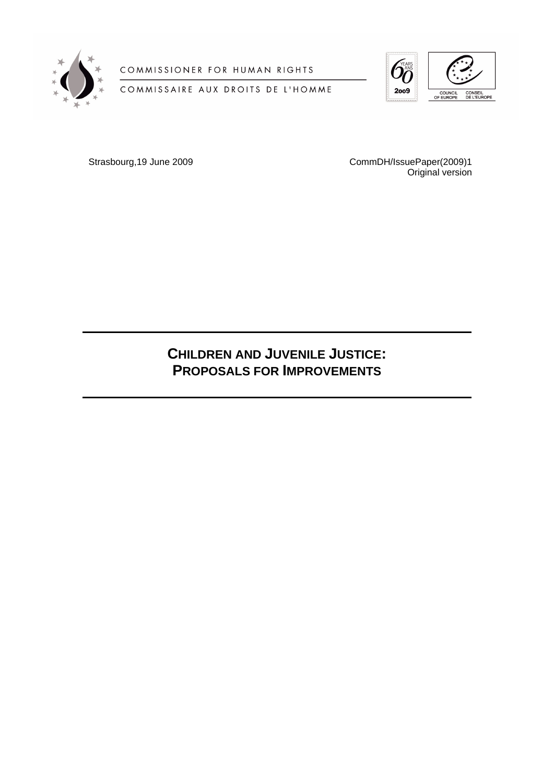

COMMISSIONER FOR HUMAN RIGHTS

COMMISSAIRE AUX DROITS DE L'HOMME



Strasbourg,19 June 2009 CommDH/IssuePaper(2009)1 Original version

# **CHILDREN AND JUVENILE JUSTICE: PROPOSALS FOR IMPROVEMENTS**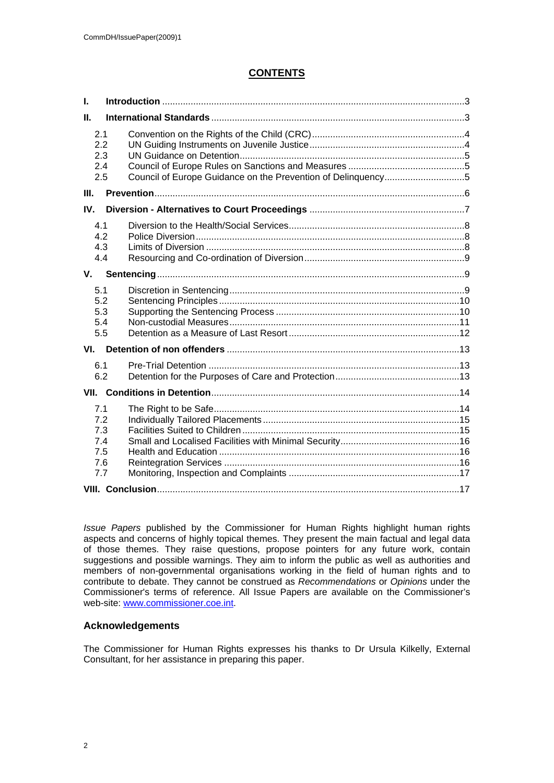# **CONTENTS**

| $\mathbf{L}$                                  |  |  |  |
|-----------------------------------------------|--|--|--|
| $\Pi$ .                                       |  |  |  |
| 2.1<br>2.2<br>2.3<br>2.4<br>2.5               |  |  |  |
| III.                                          |  |  |  |
| IV.                                           |  |  |  |
| 4.1<br>4.2<br>4.3<br>4.4                      |  |  |  |
| V.                                            |  |  |  |
| 5.1<br>5.2<br>5.3<br>5.4<br>5.5               |  |  |  |
| VI.                                           |  |  |  |
| 6.1<br>6.2                                    |  |  |  |
|                                               |  |  |  |
| 7.1<br>7.2<br>7.3<br>7.4<br>7.5<br>7.6<br>7.7 |  |  |  |
|                                               |  |  |  |

*Issue Papers* published by the Commissioner for Human Rights highlight human rights aspects and concerns of highly topical themes. They present the main factual and legal data of those themes. They raise questions, propose pointers for any future work, contain suggestions and possible warnings. They aim to inform the public as well as authorities and members of non-governmental organisations working in the field of human rights and to contribute to debate. They cannot be construed as *Recommendations* or *Opinions* under the Commissioner's terms of reference. All Issue Papers are available on the Commissioner's web-site: [www.commissioner.coe.int](http://www.commissioner.coe.int).

# **Acknowledgements**

The Commissioner for Human Rights expresses his thanks to Dr Ursula Kilkelly, External Consultant, for her assistance in preparing this paper.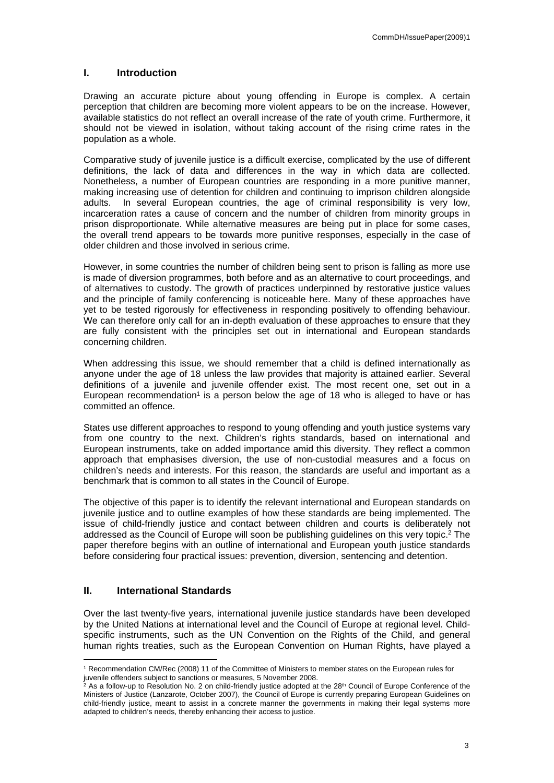### <span id="page-2-0"></span>**I. Introduction**

Drawing an accurate picture about young offending in Europe is complex. A certain perception that children are becoming more violent appears to be on the increase. However, available statistics do not reflect an overall increase of the rate of youth crime. Furthermore, it should not be viewed in isolation, without taking account of the rising crime rates in the population as a whole.

Comparative study of juvenile justice is a difficult exercise, complicated by the use of different definitions, the lack of data and differences in the way in which data are collected. Nonetheless, a number of European countries are responding in a more punitive manner, making increasing use of detention for children and continuing to imprison children alongside adults. In several European countries, the age of criminal responsibility is very low, incarceration rates a cause of concern and the number of children from minority groups in prison disproportionate. While alternative measures are being put in place for some cases, the overall trend appears to be towards more punitive responses, especially in the case of older children and those involved in serious crime.

However, in some countries the number of children being sent to prison is falling as more use is made of diversion programmes, both before and as an alternative to court proceedings, and of alternatives to custody. The growth of practices underpinned by restorative justice values and the principle of family conferencing is noticeable here. Many of these approaches have yet to be tested rigorously for effectiveness in responding positively to offending behaviour. We can therefore only call for an in-depth evaluation of these approaches to ensure that they are fully consistent with the principles set out in international and European standards concerning children.

When addressing this issue, we should remember that a child is defined internationally as anyone under the age of 18 unless the law provides that majority is attained earlier. Several definitions of a juvenile and juvenile offender exist. The most recent one, set out in a European recommendation<sup>1</sup> is a person below the age of 18 who is alleged to have or has committed an offence.

States use different approaches to respond to young offending and youth justice systems vary from one country to the next. Children's rights standards, based on international and European instruments, take on added importance amid this diversity. They reflect a common approach that emphasises diversion, the use of non-custodial measures and a focus on children's needs and interests. For this reason, the standards are useful and important as a benchmark that is common to all states in the Council of Europe.

The objective of this paper is to identify the relevant international and European standards on juvenile justice and to outline examples of how these standards are being implemented. The issue of child-friendly justice and contact between children and courts is deliberately not addressed as the Council of Europe will soon be publishing guidelines on this very topic.<sup>2</sup> The paper therefore begins with an outline of international and European youth justice standards before considering four practical issues: prevention, diversion, sentencing and detention.

# <span id="page-2-1"></span>**II. International Standards**

Over the last twenty-five years, international juvenile justice standards have been developed by the United Nations at international level and the Council of Europe at regional level. Childspecific instruments, such as the UN Convention on the Rights of the Child, and general human rights treaties, such as the European Convention on Human Rights, have played a

<sup>1</sup> Recommendation CM/Rec (2008) 11 of the Committee of Ministers to member states on the European rules for juvenile offenders subject to sanctions or measures, 5 November 2008.

<sup>&</sup>lt;sup>2</sup> As a follow-up to Resolution No. 2 on child-friendly justice adopted at the 28<sup>th</sup> Council of Europe Conference of the Ministers of Justice (Lanzarote, October 2007), the Council of Europe is currently preparing European Guidelines on child-friendly justice, meant to assist in a concrete manner the governments in making their legal systems more adapted to children's needs, thereby enhancing their access to justice.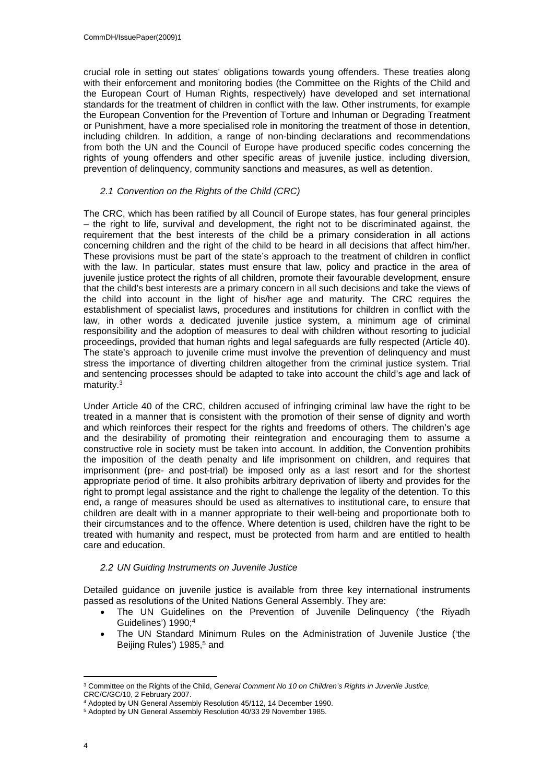crucial role in setting out states' obligations towards young offenders. These treaties along with their enforcement and monitoring bodies (the Committee on the Rights of the Child and the European Court of Human Rights, respectively) have developed and set international standards for the treatment of children in conflict with the law. Other instruments, for example the European Convention for the Prevention of Torture and Inhuman or Degrading Treatment or Punishment, have a more specialised role in monitoring the treatment of those in detention, including children. In addition, a range of non-binding declarations and recommendations from both the UN and the Council of Europe have produced specific codes concerning the rights of young offenders and other specific areas of juvenile justice, including diversion, prevention of delinquency, community sanctions and measures, as well as detention.

# <span id="page-3-0"></span>*2.1 Convention on the Rights of the Child (CRC)*

The CRC, which has been ratified by all Council of Europe states, has four general principles – the right to life, survival and development, the right not to be discriminated against, the requirement that the best interests of the child be a primary consideration in all actions concerning children and the right of the child to be heard in all decisions that affect him/her. These provisions must be part of the state's approach to the treatment of children in conflict with the law. In particular, states must ensure that law, policy and practice in the area of juvenile justice protect the rights of all children, promote their favourable development, ensure that the child's best interests are a primary concern in all such decisions and take the views of the child into account in the light of his/her age and maturity. The CRC requires the establishment of specialist laws, procedures and institutions for children in conflict with the law, in other words a dedicated juvenile justice system, a minimum age of criminal responsibility and the adoption of measures to deal with children without resorting to judicial proceedings, provided that human rights and legal safeguards are fully respected (Article 40). The state's approach to juvenile crime must involve the prevention of delinquency and must stress the importance of diverting children altogether from the criminal justice system. Trial and sentencing processes should be adapted to take into account the child's age and lack of maturity.<sup>3</sup>

Under Article 40 of the CRC, children accused of infringing criminal law have the right to be treated in a manner that is consistent with the promotion of their sense of dignity and worth and which reinforces their respect for the rights and freedoms of others. The children's age and the desirability of promoting their reintegration and encouraging them to assume a constructive role in society must be taken into account. In addition, the Convention prohibits the imposition of the death penalty and life imprisonment on children, and requires that imprisonment (pre- and post-trial) be imposed only as a last resort and for the shortest appropriate period of time. It also prohibits arbitrary deprivation of liberty and provides for the right to prompt legal assistance and the right to challenge the legality of the detention. To this end, a range of measures should be used as alternatives to institutional care, to ensure that children are dealt with in a manner appropriate to their well-being and proportionate both to their circumstances and to the offence. Where detention is used, children have the right to be treated with humanity and respect, must be protected from harm and are entitled to health care and education.

#### <span id="page-3-1"></span>*2.2 UN Guiding Instruments on Juvenile Justice*

Detailed guidance on juvenile justice is available from three key international instruments passed as resolutions of the United Nations General Assembly. They are:

- The UN Guidelines on the Prevention of Juvenile Delinquency ('the Riyadh Guidelines') 1990;<sup>4</sup>
- The UN Standard Minimum Rules on the Administration of Juvenile Justice ('the Beijing Rules') 1985,<sup>5</sup> and

<sup>3</sup> Committee on the Rights of the Child, *General Comment No 10 on Children's Rights in Juvenile Justice*, CRC/C/GC/10, 2 February 2007.

<sup>4</sup> Adopted by UN General Assembly Resolution 45/112, 14 December 1990.

<sup>5</sup> Adopted by UN General Assembly Resolution 40/33 29 November 1985.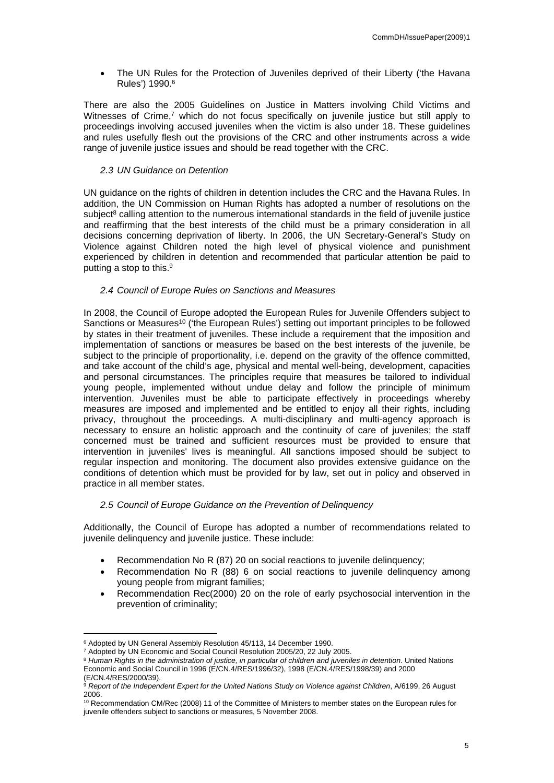The UN Rules for the Protection of Juveniles deprived of their Liberty ('the Havana Rules') 1990.<sup>6</sup>

There are also the 2005 Guidelines on Justice in Matters involving Child Victims and Witnesses of Crime,<sup>7</sup> which do not focus specifically on juvenile justice but still apply to proceedings involving accused juveniles when the victim is also under 18. These guidelines and rules usefully flesh out the provisions of the CRC and other instruments across a wide range of juvenile justice issues and should be read together with the CRC.

#### <span id="page-4-0"></span>*2.3 UN Guidance on Detention*

UN guidance on the rights of children in detention includes the CRC and the Havana Rules. In addition, the UN Commission on Human Rights has adopted a number of resolutions on the subject<sup>8</sup> calling attention to the numerous international standards in the field of juvenile justice and reaffirming that the best interests of the child must be a primary consideration in all decisions concerning deprivation of liberty. In 2006, the UN Secretary-General's Study on Violence against Children noted the high level of physical violence and punishment experienced by children in detention and recommended that particular attention be paid to putting a stop to this.<sup>9</sup>

#### <span id="page-4-1"></span>*2.4 Council of Europe Rules on Sanctions and Measures*

In 2008, the Council of Europe adopted the European Rules for Juvenile Offenders subject to Sanctions or Measures<sup>10</sup> ('the European Rules') setting out important principles to be followed by states in their treatment of juveniles. These include a requirement that the imposition and implementation of sanctions or measures be based on the best interests of the juvenile, be subject to the principle of proportionality, i.e. depend on the gravity of the offence committed, and take account of the child's age, physical and mental well-being, development, capacities and personal circumstances. The principles require that measures be tailored to individual young people, implemented without undue delay and follow the principle of minimum intervention. Juveniles must be able to participate effectively in proceedings whereby measures are imposed and implemented and be entitled to enjoy all their rights, including privacy, throughout the proceedings. A multi-disciplinary and multi-agency approach is necessary to ensure an holistic approach and the continuity of care of juveniles; the staff concerned must be trained and sufficient resources must be provided to ensure that intervention in juveniles' lives is meaningful. All sanctions imposed should be subject to regular inspection and monitoring. The document also provides extensive guidance on the conditions of detention which must be provided for by law, set out in policy and observed in practice in all member states.

#### <span id="page-4-2"></span>*2.5 Council of Europe Guidance on the Prevention of Delinquency*

Additionally, the Council of Europe has adopted a number of recommendations related to juvenile delinquency and juvenile justice. These include:

- Recommendation No R (87) 20 on social reactions to juvenile delinquency;
- Recommendation No R (88) 6 on social reactions to juvenile delinquency among young people from migrant families;
- Recommendation Rec(2000) 20 on the role of early psychosocial intervention in the prevention of criminality;

<sup>6</sup> Adopted by UN General Assembly Resolution 45/113, 14 December 1990.

<sup>7</sup> Adopted by UN Economic and Social Council Resolution 2005/20, 22 July 2005.

<sup>8</sup> *Human Rights in the administration of justice, in particular of children and juveniles in detention*. United Nations Economic and Social Council in 1996 (E/CN.4/RES/1996/32), 1998 (E/CN.4/RES/1998/39) and 2000 (E/CN.4/RES/2000/39).

<sup>&</sup>lt;sup>9</sup> Report of the Independent Expert for the United Nations Study on Violence against Children, A/6199, 26 August 2006.

<sup>10</sup> Recommendation CM/Rec (2008) 11 of the Committee of Ministers to member states on the European rules for juvenile offenders subject to sanctions or measures, 5 November 2008.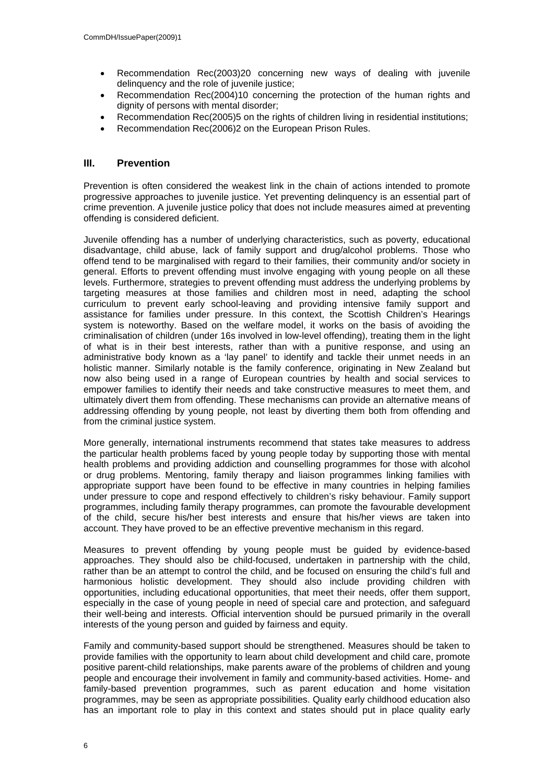- Recommendation Rec(2003)20 concerning new ways of dealing with juvenile delinquency and the role of juvenile justice;
- Recommendation Rec(2004)10 concerning the protection of the human rights and dignity of persons with mental disorder;
- Recommendation Rec(2005)5 on the rights of children living in residential institutions;
- Recommendation Rec(2006)2 on the European Prison Rules.

# <span id="page-5-0"></span>**III. Prevention**

Prevention is often considered the weakest link in the chain of actions intended to promote progressive approaches to juvenile justice. Yet preventing delinquency is an essential part of crime prevention. A juvenile justice policy that does not include measures aimed at preventing offending is considered deficient.

Juvenile offending has a number of underlying characteristics, such as poverty, educational disadvantage, child abuse, lack of family support and drug/alcohol problems. Those who offend tend to be marginalised with regard to their families, their community and/or society in general. Efforts to prevent offending must involve engaging with young people on all these levels. Furthermore, strategies to prevent offending must address the underlying problems by targeting measures at those families and children most in need, adapting the school curriculum to prevent early school-leaving and providing intensive family support and assistance for families under pressure. In this context, the Scottish Children's Hearings system is noteworthy. Based on the welfare model, it works on the basis of avoiding the criminalisation of children (under 16s involved in low-level offending), treating them in the light of what is in their best interests, rather than with a punitive response, and using an administrative body known as a 'lay panel' to identify and tackle their unmet needs in an holistic manner. Similarly notable is the family conference, originating in New Zealand but now also being used in a range of European countries by health and social services to empower families to identify their needs and take constructive measures to meet them, and ultimately divert them from offending. These mechanisms can provide an alternative means of addressing offending by young people, not least by diverting them both from offending and from the criminal justice system.

More generally, international instruments recommend that states take measures to address the particular health problems faced by young people today by supporting those with mental health problems and providing addiction and counselling programmes for those with alcohol or drug problems. Mentoring, family therapy and liaison programmes linking families with appropriate support have been found to be effective in many countries in helping families under pressure to cope and respond effectively to children's risky behaviour. Family support programmes, including family therapy programmes, can promote the favourable development of the child, secure his/her best interests and ensure that his/her views are taken into account. They have proved to be an effective preventive mechanism in this regard.

Measures to prevent offending by young people must be guided by evidence-based approaches. They should also be child-focused, undertaken in partnership with the child, rather than be an attempt to control the child, and be focused on ensuring the child's full and harmonious holistic development. They should also include providing children with opportunities, including educational opportunities, that meet their needs, offer them support, especially in the case of young people in need of special care and protection, and safeguard their well-being and interests. Official intervention should be pursued primarily in the overall interests of the young person and guided by fairness and equity.

Family and community-based support should be strengthened. Measures should be taken to provide families with the opportunity to learn about child development and child care, promote positive parent-child relationships, make parents aware of the problems of children and young people and encourage their involvement in family and community-based activities. Home- and family-based prevention programmes, such as parent education and home visitation programmes, may be seen as appropriate possibilities. Quality early childhood education also has an important role to play in this context and states should put in place quality early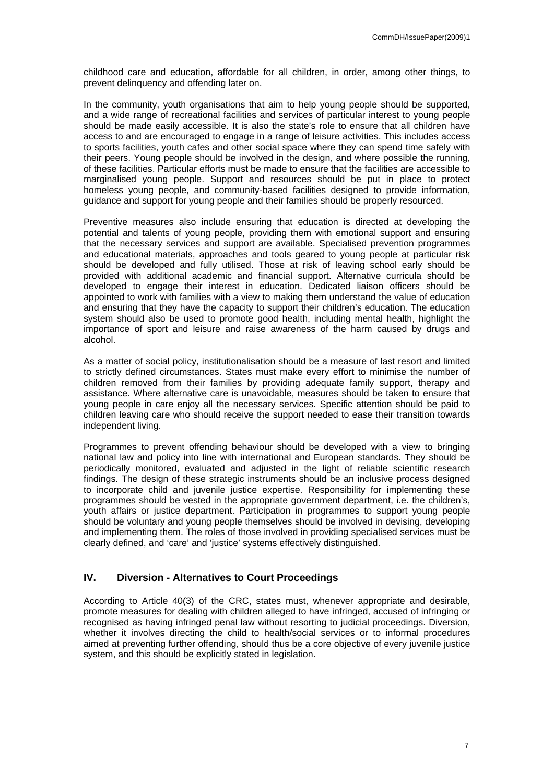childhood care and education, affordable for all children, in order, among other things, to prevent delinquency and offending later on.

In the community, youth organisations that aim to help young people should be supported, and a wide range of recreational facilities and services of particular interest to young people should be made easily accessible. It is also the state's role to ensure that all children have access to and are encouraged to engage in a range of leisure activities. This includes access to sports facilities, youth cafes and other social space where they can spend time safely with their peers. Young people should be involved in the design, and where possible the running, of these facilities. Particular efforts must be made to ensure that the facilities are accessible to marginalised young people. Support and resources should be put in place to protect homeless young people, and community-based facilities designed to provide information, guidance and support for young people and their families should be properly resourced.

Preventive measures also include ensuring that education is directed at developing the potential and talents of young people, providing them with emotional support and ensuring that the necessary services and support are available. Specialised prevention programmes and educational materials, approaches and tools geared to young people at particular risk should be developed and fully utilised. Those at risk of leaving school early should be provided with additional academic and financial support. Alternative curricula should be developed to engage their interest in education. Dedicated liaison officers should be appointed to work with families with a view to making them understand the value of education and ensuring that they have the capacity to support their children's education. The education system should also be used to promote good health, including mental health, highlight the importance of sport and leisure and raise awareness of the harm caused by drugs and alcohol.

As a matter of social policy, institutionalisation should be a measure of last resort and limited to strictly defined circumstances. States must make every effort to minimise the number of children removed from their families by providing adequate family support, therapy and assistance. Where alternative care is unavoidable, measures should be taken to ensure that young people in care enjoy all the necessary services. Specific attention should be paid to children leaving care who should receive the support needed to ease their transition towards independent living.

Programmes to prevent offending behaviour should be developed with a view to bringing national law and policy into line with international and European standards. They should be periodically monitored, evaluated and adjusted in the light of reliable scientific research findings. The design of these strategic instruments should be an inclusive process designed to incorporate child and juvenile justice expertise. Responsibility for implementing these programmes should be vested in the appropriate government department, i.e. the children's, youth affairs or justice department. Participation in programmes to support young people should be voluntary and young people themselves should be involved in devising, developing and implementing them. The roles of those involved in providing specialised services must be clearly defined, and 'care' and 'justice' systems effectively distinguished.

# <span id="page-6-0"></span>**IV. Diversion - Alternatives to Court Proceedings**

According to Article 40(3) of the CRC, states must, whenever appropriate and desirable, promote measures for dealing with children alleged to have infringed, accused of infringing or recognised as having infringed penal law without resorting to judicial proceedings. Diversion, whether it involves directing the child to health/social services or to informal procedures aimed at preventing further offending, should thus be a core objective of every juvenile justice system, and this should be explicitly stated in legislation.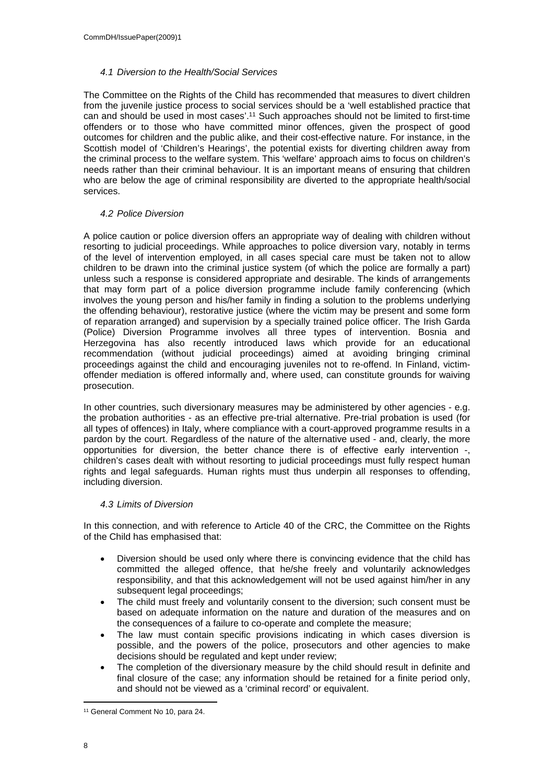#### <span id="page-7-0"></span>*4.1 Diversion to the Health/Social Services*

The Committee on the Rights of the Child has recommended that measures to divert children from the juvenile justice process to social services should be a 'well established practice that can and should be used in most cases'.<sup>11</sup> Such approaches should not be limited to first-time offenders or to those who have committed minor offences, given the prospect of good outcomes for children and the public alike, and their cost-effective nature. For instance, in the Scottish model of 'Children's Hearings', the potential exists for diverting children away from the criminal process to the welfare system. This 'welfare' approach aims to focus on children's needs rather than their criminal behaviour. It is an important means of ensuring that children who are below the age of criminal responsibility are diverted to the appropriate health/social services.

#### <span id="page-7-1"></span>*4.2 Police Diversion*

A police caution or police diversion offers an appropriate way of dealing with children without resorting to judicial proceedings. While approaches to police diversion vary, notably in terms of the level of intervention employed, in all cases special care must be taken not to allow children to be drawn into the criminal justice system (of which the police are formally a part) unless such a response is considered appropriate and desirable. The kinds of arrangements that may form part of a police diversion programme include family conferencing (which involves the young person and his/her family in finding a solution to the problems underlying the offending behaviour), restorative justice (where the victim may be present and some form of reparation arranged) and supervision by a specially trained police officer. The Irish Garda (Police) Diversion Programme involves all three types of intervention. Bosnia and Herzegovina has also recently introduced laws which provide for an educational recommendation (without judicial proceedings) aimed at avoiding bringing criminal proceedings against the child and encouraging juveniles not to re-offend. In Finland, victimoffender mediation is offered informally and, where used, can constitute grounds for waiving prosecution.

In other countries, such diversionary measures may be administered by other agencies - e.g. the probation authorities - as an effective pre-trial alternative. Pre-trial probation is used (for all types of offences) in Italy, where compliance with a court-approved programme results in a pardon by the court. Regardless of the nature of the alternative used - and, clearly, the more opportunities for diversion, the better chance there is of effective early intervention -, children's cases dealt with without resorting to judicial proceedings must fully respect human rights and legal safeguards. Human rights must thus underpin all responses to offending, including diversion.

#### <span id="page-7-2"></span>*4.3 Limits of Diversion*

In this connection, and with reference to Article 40 of the CRC, the Committee on the Rights of the Child has emphasised that:

- Diversion should be used only where there is convincing evidence that the child has committed the alleged offence, that he/she freely and voluntarily acknowledges responsibility, and that this acknowledgement will not be used against him/her in any subsequent legal proceedings;
- The child must freely and voluntarily consent to the diversion; such consent must be based on adequate information on the nature and duration of the measures and on the consequences of a failure to co-operate and complete the measure;
- The law must contain specific provisions indicating in which cases diversion is possible, and the powers of the police, prosecutors and other agencies to make decisions should be regulated and kept under review;
- The completion of the diversionary measure by the child should result in definite and final closure of the case; any information should be retained for a finite period only, and should not be viewed as a 'criminal record' or equivalent.

<sup>11</sup> General Comment No 10, para 24.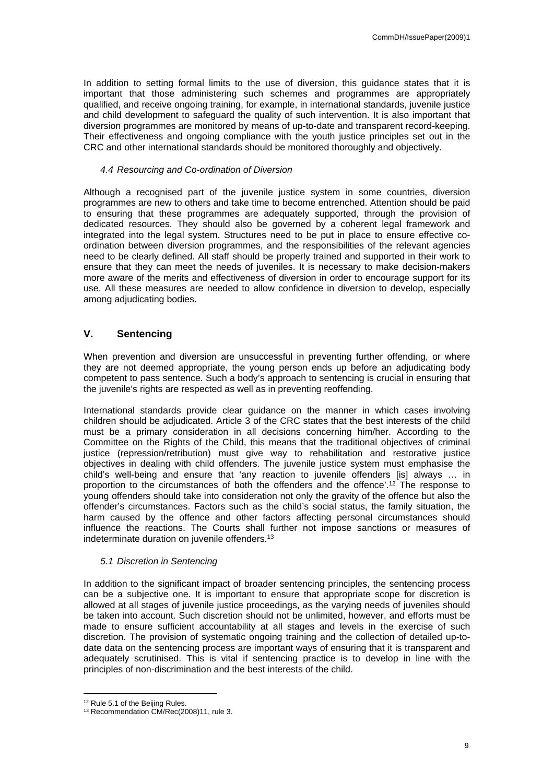In addition to setting formal limits to the use of diversion, this guidance states that it is important that those administering such schemes and programmes are appropriately qualified, and receive ongoing training, for example, in international standards, juvenile justice and child development to safeguard the quality of such intervention. It is also important that diversion programmes are monitored by means of up-to-date and transparent record-keeping. Their effectiveness and ongoing compliance with the youth justice principles set out in the CRC and other international standards should be monitored thoroughly and objectively.

#### <span id="page-8-0"></span>*4.4 Resourcing and Co-ordination of Diversion*

Although a recognised part of the juvenile justice system in some countries, diversion programmes are new to others and take time to become entrenched. Attention should be paid to ensuring that these programmes are adequately supported, through the provision of dedicated resources. They should also be governed by a coherent legal framework and integrated into the legal system. Structures need to be put in place to ensure effective coordination between diversion programmes, and the responsibilities of the relevant agencies need to be clearly defined. All staff should be properly trained and supported in their work to ensure that they can meet the needs of juveniles. It is necessary to make decision-makers more aware of the merits and effectiveness of diversion in order to encourage support for its use. All these measures are needed to allow confidence in diversion to develop, especially among adjudicating bodies.

# <span id="page-8-1"></span>**V. Sentencing**

When prevention and diversion are unsuccessful in preventing further offending, or where they are not deemed appropriate, the young person ends up before an adjudicating body competent to pass sentence. Such a body's approach to sentencing is crucial in ensuring that the juvenile's rights are respected as well as in preventing reoffending.

International standards provide clear guidance on the manner in which cases involving children should be adjudicated. Article 3 of the CRC states that the best interests of the child must be a primary consideration in all decisions concerning him/her. According to the Committee on the Rights of the Child, this means that the traditional objectives of criminal justice (repression/retribution) must give way to rehabilitation and restorative justice objectives in dealing with child offenders. The juvenile justice system must emphasise the child's well-being and ensure that 'any reaction to juvenile offenders [is] always … in proportion to the circumstances of both the offenders and the offence'.<sup>12</sup> The response to young offenders should take into consideration not only the gravity of the offence but also the offender's circumstances. Factors such as the child's social status, the family situation, the harm caused by the offence and other factors affecting personal circumstances should influence the reactions. The Courts shall further not impose sanctions or measures of indeterminate duration on juvenile offenders.<sup>13</sup>

#### <span id="page-8-2"></span>*5.1 Discretion in Sentencing*

In addition to the significant impact of broader sentencing principles, the sentencing process can be a subjective one. It is important to ensure that appropriate scope for discretion is allowed at all stages of juvenile justice proceedings, as the varying needs of juveniles should be taken into account. Such discretion should not be unlimited, however, and efforts must be made to ensure sufficient accountability at all stages and levels in the exercise of such discretion. The provision of systematic ongoing training and the collection of detailed up-todate data on the sentencing process are important ways of ensuring that it is transparent and adequately scrutinised. This is vital if sentencing practice is to develop in line with the principles of non-discrimination and the best interests of the child.

<sup>12</sup> Rule 5.1 of the Beijing Rules.

<sup>13</sup> Recommendation CM/Rec(2008)11, rule 3.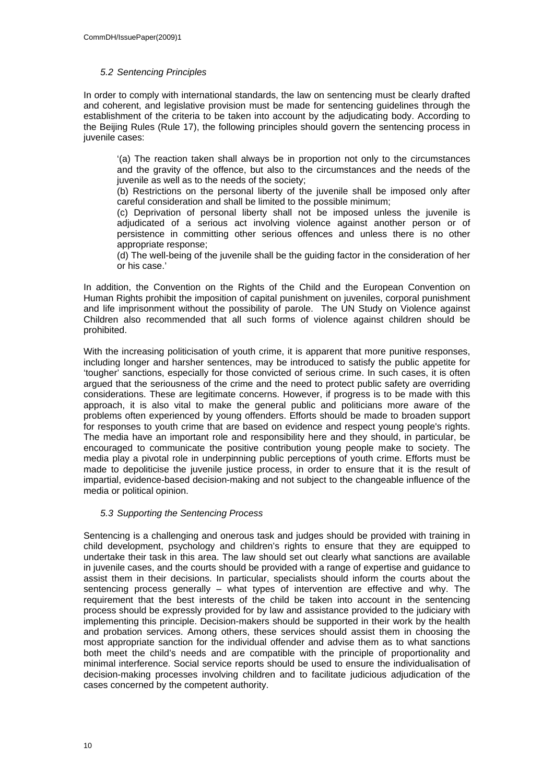## <span id="page-9-0"></span>*5.2 Sentencing Principles*

In order to comply with international standards, the law on sentencing must be clearly drafted and coherent, and legislative provision must be made for sentencing guidelines through the establishment of the criteria to be taken into account by the adjudicating body. According to the Beijing Rules (Rule 17), the following principles should govern the sentencing process in juvenile cases:

'(a) The reaction taken shall always be in proportion not only to the circumstances and the gravity of the offence, but also to the circumstances and the needs of the juvenile as well as to the needs of the society;

(b) Restrictions on the personal liberty of the juvenile shall be imposed only after careful consideration and shall be limited to the possible minimum;

(c) Deprivation of personal liberty shall not be imposed unless the juvenile is adjudicated of a serious act involving violence against another person or of persistence in committing other serious offences and unless there is no other appropriate response;

(d) The well-being of the juvenile shall be the guiding factor in the consideration of her or his case.'

In addition, the Convention on the Rights of the Child and the European Convention on Human Rights prohibit the imposition of capital punishment on juveniles, corporal punishment and life imprisonment without the possibility of parole. The UN Study on Violence against Children also recommended that all such forms of violence against children should be prohibited.

With the increasing politicisation of youth crime, it is apparent that more punitive responses, including longer and harsher sentences, may be introduced to satisfy the public appetite for 'tougher' sanctions, especially for those convicted of serious crime. In such cases, it is often argued that the seriousness of the crime and the need to protect public safety are overriding considerations. These are legitimate concerns. However, if progress is to be made with this approach, it is also vital to make the general public and politicians more aware of the problems often experienced by young offenders. Efforts should be made to broaden support for responses to youth crime that are based on evidence and respect young people's rights. The media have an important role and responsibility here and they should, in particular, be encouraged to communicate the positive contribution young people make to society. The media play a pivotal role in underpinning public perceptions of youth crime. Efforts must be made to depoliticise the juvenile justice process, in order to ensure that it is the result of impartial, evidence-based decision-making and not subject to the changeable influence of the media or political opinion.

# <span id="page-9-1"></span>*5.3 Supporting the Sentencing Process*

Sentencing is a challenging and onerous task and judges should be provided with training in child development, psychology and children's rights to ensure that they are equipped to undertake their task in this area. The law should set out clearly what sanctions are available in juvenile cases, and the courts should be provided with a range of expertise and guidance to assist them in their decisions. In particular, specialists should inform the courts about the sentencing process generally – what types of intervention are effective and why. The requirement that the best interests of the child be taken into account in the sentencing process should be expressly provided for by law and assistance provided to the judiciary with implementing this principle. Decision-makers should be supported in their work by the health and probation services. Among others, these services should assist them in choosing the most appropriate sanction for the individual offender and advise them as to what sanctions both meet the child's needs and are compatible with the principle of proportionality and minimal interference. Social service reports should be used to ensure the individualisation of decision-making processes involving children and to facilitate judicious adjudication of the cases concerned by the competent authority.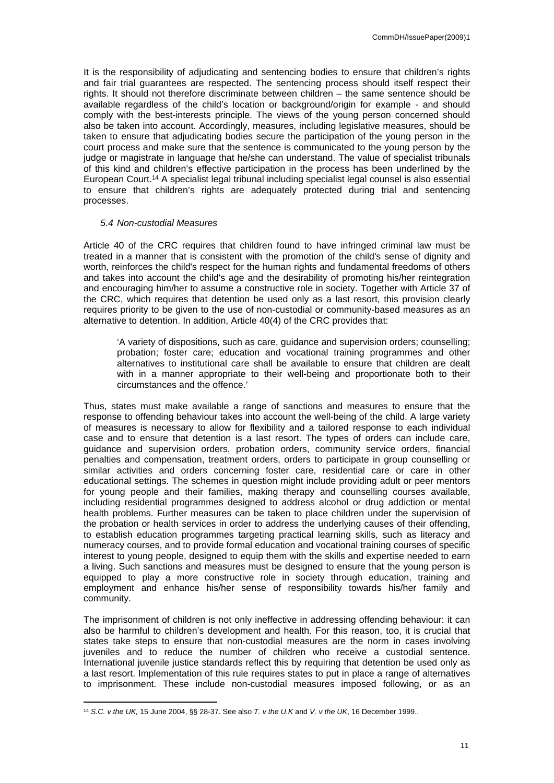It is the responsibility of adjudicating and sentencing bodies to ensure that children's rights and fair trial guarantees are respected. The sentencing process should itself respect their rights. It should not therefore discriminate between children – the same sentence should be available regardless of the child's location or background/origin for example - and should comply with the best-interests principle. The views of the young person concerned should also be taken into account. Accordingly, measures, including legislative measures, should be taken to ensure that adjudicating bodies secure the participation of the young person in the court process and make sure that the sentence is communicated to the young person by the judge or magistrate in language that he/she can understand. The value of specialist tribunals of this kind and children's effective participation in the process has been underlined by the European Court.<sup>14</sup> A specialist legal tribunal including specialist legal counsel is also essential to ensure that children's rights are adequately protected during trial and sentencing processes.

#### <span id="page-10-0"></span>*5.4 Non-custodial Measures*

Article 40 of the CRC requires that children found to have infringed criminal law must be treated in a manner that is consistent with the promotion of the child's sense of dignity and worth, reinforces the child's respect for the human rights and fundamental freedoms of others and takes into account the child's age and the desirability of promoting his/her reintegration and encouraging him/her to assume a constructive role in society. Together with Article 37 of the CRC, which requires that detention be used only as a last resort, this provision clearly requires priority to be given to the use of non-custodial or community-based measures as an alternative to detention. In addition, Article 40(4) of the CRC provides that:

'A variety of dispositions, such as care, guidance and supervision orders; counselling; probation; foster care; education and vocational training programmes and other alternatives to institutional care shall be available to ensure that children are dealt with in a manner appropriate to their well-being and proportionate both to their circumstances and the offence.'

Thus, states must make available a range of sanctions and measures to ensure that the response to offending behaviour takes into account the well-being of the child. A large variety of measures is necessary to allow for flexibility and a tailored response to each individual case and to ensure that detention is a last resort. The types of orders can include care, guidance and supervision orders, probation orders, community service orders, financial penalties and compensation, treatment orders, orders to participate in group counselling or similar activities and orders concerning foster care, residential care or care in other educational settings. The schemes in question might include providing adult or peer mentors for young people and their families, making therapy and counselling courses available, including residential programmes designed to address alcohol or drug addiction or mental health problems. Further measures can be taken to place children under the supervision of the probation or health services in order to address the underlying causes of their offending, to establish education programmes targeting practical learning skills, such as literacy and numeracy courses, and to provide formal education and vocational training courses of specific interest to young people, designed to equip them with the skills and expertise needed to earn a living. Such sanctions and measures must be designed to ensure that the young person is equipped to play a more constructive role in society through education, training and employment and enhance his/her sense of responsibility towards his/her family and community.

The imprisonment of children is not only ineffective in addressing offending behaviour: it can also be harmful to children's development and health. For this reason, too, it is crucial that states take steps to ensure that non-custodial measures are the norm in cases involving juveniles and to reduce the number of children who receive a custodial sentence. International juvenile justice standards reflect this by requiring that detention be used only as a last resort. Implementation of this rule requires states to put in place a range of alternatives to imprisonment. These include non-custodial measures imposed following, or as an

<sup>14</sup> *S.C. v the UK,* 15 June 2004, §§ 28-37. See also *T. v the U.K* and *V. v the UK*, 16 December 1999..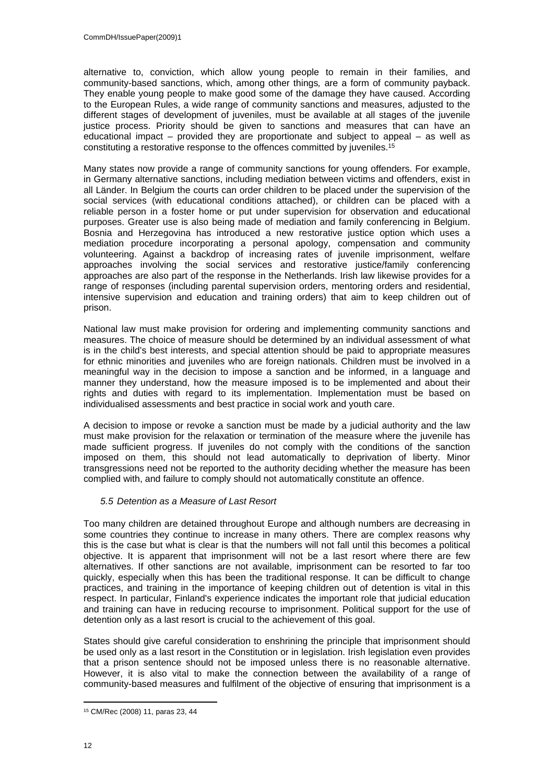alternative to, conviction, which allow young people to remain in their families, and community-based sanctions, which, among other things*,* are a form of community payback. They enable young people to make good some of the damage they have caused. According to the European Rules, a wide range of community sanctions and measures, adjusted to the different stages of development of juveniles, must be available at all stages of the juvenile justice process. Priority should be given to sanctions and measures that can have an educational impact – provided they are proportionate and subject to appeal – as well as constituting a restorative response to the offences committed by juveniles.<sup>15</sup>

Many states now provide a range of community sanctions for young offenders. For example, in Germany alternative sanctions, including mediation between victims and offenders, exist in all Länder. In Belgium the courts can order children to be placed under the supervision of the social services (with educational conditions attached), or children can be placed with a reliable person in a foster home or put under supervision for observation and educational purposes. Greater use is also being made of mediation and family conferencing in Belgium. Bosnia and Herzegovina has introduced a new restorative justice option which uses a mediation procedure incorporating a personal apology, compensation and community volunteering. Against a backdrop of increasing rates of juvenile imprisonment, welfare approaches involving the social services and restorative justice/family conferencing approaches are also part of the response in the Netherlands. Irish law likewise provides for a range of responses (including parental supervision orders, mentoring orders and residential, intensive supervision and education and training orders) that aim to keep children out of prison.

National law must make provision for ordering and implementing community sanctions and measures. The choice of measure should be determined by an individual assessment of what is in the child's best interests, and special attention should be paid to appropriate measures for ethnic minorities and juveniles who are foreign nationals. Children must be involved in a meaningful way in the decision to impose a sanction and be informed, in a language and manner they understand, how the measure imposed is to be implemented and about their rights and duties with regard to its implementation. Implementation must be based on individualised assessments and best practice in social work and youth care.

A decision to impose or revoke a sanction must be made by a judicial authority and the law must make provision for the relaxation or termination of the measure where the juvenile has made sufficient progress. If juveniles do not comply with the conditions of the sanction imposed on them, this should not lead automatically to deprivation of liberty. Minor transgressions need not be reported to the authority deciding whether the measure has been complied with, and failure to comply should not automatically constitute an offence.

# <span id="page-11-0"></span>*5.5 Detention as a Measure of Last Resort*

Too many children are detained throughout Europe and although numbers are decreasing in some countries they continue to increase in many others. There are complex reasons why this is the case but what is clear is that the numbers will not fall until this becomes a political objective. It is apparent that imprisonment will not be a last resort where there are few alternatives. If other sanctions are not available, imprisonment can be resorted to far too quickly, especially when this has been the traditional response. It can be difficult to change practices, and training in the importance of keeping children out of detention is vital in this respect. In particular, Finland's experience indicates the important role that judicial education and training can have in reducing recourse to imprisonment. Political support for the use of detention only as a last resort is crucial to the achievement of this goal.

States should give careful consideration to enshrining the principle that imprisonment should be used only as a last resort in the Constitution or in legislation. Irish legislation even provides that a prison sentence should not be imposed unless there is no reasonable alternative. However, it is also vital to make the connection between the availability of a range of community-based measures and fulfilment of the objective of ensuring that imprisonment is a

<sup>15</sup> CM/Rec (2008) 11, paras 23, 44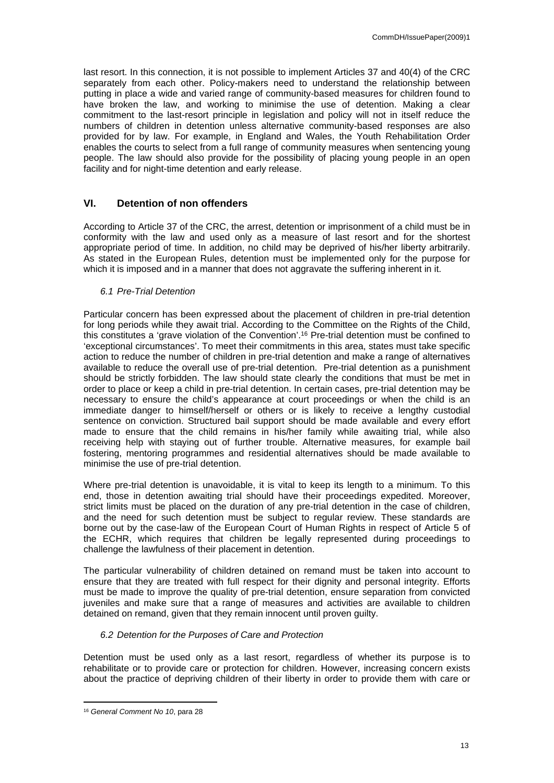last resort. In this connection, it is not possible to implement Articles 37 and 40(4) of the CRC separately from each other. Policy-makers need to understand the relationship between putting in place a wide and varied range of community-based measures for children found to have broken the law, and working to minimise the use of detention. Making a clear commitment to the last-resort principle in legislation and policy will not in itself reduce the numbers of children in detention unless alternative community-based responses are also provided for by law. For example, in England and Wales, the Youth Rehabilitation Order enables the courts to select from a full range of community measures when sentencing young people. The law should also provide for the possibility of placing young people in an open facility and for night-time detention and early release.

# <span id="page-12-0"></span>**VI. Detention of non offenders**

According to Article 37 of the CRC, the arrest, detention or imprisonment of a child must be in conformity with the law and used only as a measure of last resort and for the shortest appropriate period of time. In addition, no child may be deprived of his/her liberty arbitrarily. As stated in the European Rules, detention must be implemented only for the purpose for which it is imposed and in a manner that does not aggravate the suffering inherent in it.

#### <span id="page-12-1"></span>*6.1 Pre-Trial Detention*

Particular concern has been expressed about the placement of children in pre-trial detention for long periods while they await trial. According to the Committee on the Rights of the Child, this constitutes a 'grave violation of the Convention'.<sup>16</sup> Pre-trial detention must be confined to 'exceptional circumstances'. To meet their commitments in this area, states must take specific action to reduce the number of children in pre-trial detention and make a range of alternatives available to reduce the overall use of pre-trial detention. Pre-trial detention as a punishment should be strictly forbidden. The law should state clearly the conditions that must be met in order to place or keep a child in pre-trial detention. In certain cases, pre-trial detention may be necessary to ensure the child's appearance at court proceedings or when the child is an immediate danger to himself/herself or others or is likely to receive a lengthy custodial sentence on conviction. Structured bail support should be made available and every effort made to ensure that the child remains in his/her family while awaiting trial, while also receiving help with staying out of further trouble. Alternative measures, for example bail fostering, mentoring programmes and residential alternatives should be made available to minimise the use of pre-trial detention.

Where pre-trial detention is unavoidable, it is vital to keep its length to a minimum. To this end, those in detention awaiting trial should have their proceedings expedited. Moreover, strict limits must be placed on the duration of any pre-trial detention in the case of children, and the need for such detention must be subject to regular review. These standards are borne out by the case-law of the European Court of Human Rights in respect of Article 5 of the ECHR, which requires that children be legally represented during proceedings to challenge the lawfulness of their placement in detention.

The particular vulnerability of children detained on remand must be taken into account to ensure that they are treated with full respect for their dignity and personal integrity. Efforts must be made to improve the quality of pre-trial detention, ensure separation from convicted juveniles and make sure that a range of measures and activities are available to children detained on remand, given that they remain innocent until proven guilty.

#### <span id="page-12-2"></span>*6.2 Detention for the Purposes of Care and Protection*

Detention must be used only as a last resort, regardless of whether its purpose is to rehabilitate or to provide care or protection for children. However, increasing concern exists about the practice of depriving children of their liberty in order to provide them with care or

<sup>16</sup> *General Comment No 10*, para 28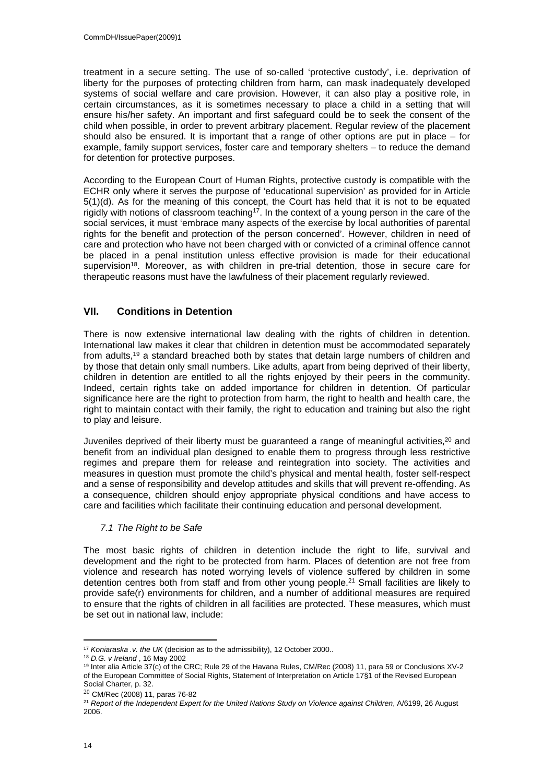treatment in a secure setting. The use of so-called 'protective custody', i.e. deprivation of liberty for the purposes of protecting children from harm, can mask inadequately developed systems of social welfare and care provision. However, it can also play a positive role, in certain circumstances, as it is sometimes necessary to place a child in a setting that will ensure his/her safety. An important and first safeguard could be to seek the consent of the child when possible, in order to prevent arbitrary placement. Regular review of the placement should also be ensured. It is important that a range of other options are put in place – for example, family support services, foster care and temporary shelters – to reduce the demand for detention for protective purposes.

According to the European Court of Human Rights, protective custody is compatible with the ECHR only where it serves the purpose of 'educational supervision' as provided for in Article 5(1)(d). As for the meaning of this concept, the Court has held that it is not to be equated rigidly with notions of classroom teaching<sup>17</sup>. In the context of a young person in the care of the social services, it must 'embrace many aspects of the exercise by local authorities of parental rights for the benefit and protection of the person concerned'. However, children in need of care and protection who have not been charged with or convicted of a criminal offence cannot be placed in a penal institution unless effective provision is made for their educational supervision<sup>18</sup>. Moreover, as with children in pre-trial detention, those in secure care for therapeutic reasons must have the lawfulness of their placement regularly reviewed.

# <span id="page-13-0"></span>**VII. Conditions in Detention**

There is now extensive international law dealing with the rights of children in detention. International law makes it clear that children in detention must be accommodated separately from adults,<sup>19</sup> a standard breached both by states that detain large numbers of children and by those that detain only small numbers. Like adults, apart from being deprived of their liberty, children in detention are entitled to all the rights enjoyed by their peers in the community. Indeed, certain rights take on added importance for children in detention. Of particular significance here are the right to protection from harm, the right to health and health care, the right to maintain contact with their family, the right to education and training but also the right to play and leisure.

Juveniles deprived of their liberty must be quaranteed a range of meaningful activities, $2^{\circ}$  and benefit from an individual plan designed to enable them to progress through less restrictive regimes and prepare them for release and reintegration into society. The activities and measures in question must promote the child's physical and mental health, foster self-respect and a sense of responsibility and develop attitudes and skills that will prevent re-offending. As a consequence, children should enjoy appropriate physical conditions and have access to care and facilities which facilitate their continuing education and personal development.

# <span id="page-13-1"></span>*7.1 The Right to be Safe*

The most basic rights of children in detention include the right to life, survival and development and the right to be protected from harm. Places of detention are not free from violence and research has noted worrying levels of violence suffered by children in some detention centres both from staff and from other young people.<sup>21</sup> Small facilities are likely to provide safe(r) environments for children, and a number of additional measures are required to ensure that the rights of children in all facilities are protected. These measures, which must be set out in national law, include:

<sup>17</sup> *Koniaraska .v. the UK* (decision as to the admissibility), 12 October 2000..

<sup>18</sup> *D.G. v Ireland* , 16 May 2002

<sup>19</sup> Inter alia Article 37(c) of the CRC; Rule 29 of the Havana Rules, CM/Rec (2008) 11, para 59 or Conclusions XV-2 of the European Committee of Social Rights, Statement of Interpretation on Article 17§1 of the Revised European Social Charter, p. 32.

<sup>20</sup> CM/Rec (2008) 11, paras 76-82

<sup>21</sup> *Report of the Independent Expert for the United Nations Study on Violence against Children*, A/6199, 26 August 2006.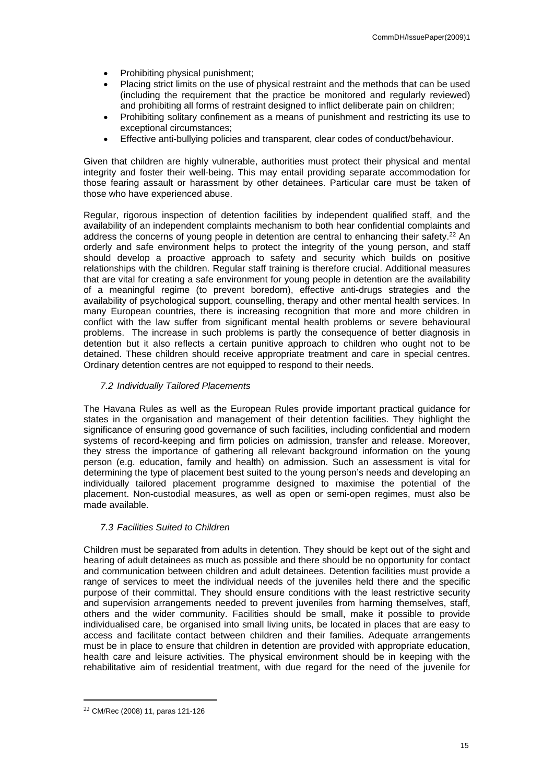- Prohibiting physical punishment;
- Placing strict limits on the use of physical restraint and the methods that can be used (including the requirement that the practice be monitored and regularly reviewed) and prohibiting all forms of restraint designed to inflict deliberate pain on children;
- Prohibiting solitary confinement as a means of punishment and restricting its use to exceptional circumstances;
- Effective anti-bullying policies and transparent, clear codes of conduct/behaviour.

Given that children are highly vulnerable, authorities must protect their physical and mental integrity and foster their well-being. This may entail providing separate accommodation for those fearing assault or harassment by other detainees. Particular care must be taken of those who have experienced abuse.

Regular, rigorous inspection of detention facilities by independent qualified staff, and the availability of an independent complaints mechanism to both hear confidential complaints and address the concerns of young people in detention are central to enhancing their safety.<sup>22</sup> An orderly and safe environment helps to protect the integrity of the young person, and staff should develop a proactive approach to safety and security which builds on positive relationships with the children. Regular staff training is therefore crucial. Additional measures that are vital for creating a safe environment for young people in detention are the availability of a meaningful regime (to prevent boredom), effective anti-drugs strategies and the availability of psychological support, counselling, therapy and other mental health services. In many European countries, there is increasing recognition that more and more children in conflict with the law suffer from significant mental health problems or severe behavioural problems. The increase in such problems is partly the consequence of better diagnosis in detention but it also reflects a certain punitive approach to children who ought not to be detained. These children should receive appropriate treatment and care in special centres. Ordinary detention centres are not equipped to respond to their needs.

# <span id="page-14-0"></span>*7.2 Individually Tailored Placements*

The Havana Rules as well as the European Rules provide important practical guidance for states in the organisation and management of their detention facilities. They highlight the significance of ensuring good governance of such facilities, including confidential and modern systems of record-keeping and firm policies on admission, transfer and release. Moreover, they stress the importance of gathering all relevant background information on the young person (e.g. education, family and health) on admission. Such an assessment is vital for determining the type of placement best suited to the young person's needs and developing an individually tailored placement programme designed to maximise the potential of the placement. Non-custodial measures, as well as open or semi-open regimes, must also be made available.

# <span id="page-14-1"></span>*7.3 Facilities Suited to Children*

Children must be separated from adults in detention. They should be kept out of the sight and hearing of adult detainees as much as possible and there should be no opportunity for contact and communication between children and adult detainees. Detention facilities must provide a range of services to meet the individual needs of the juveniles held there and the specific purpose of their committal. They should ensure conditions with the least restrictive security and supervision arrangements needed to prevent juveniles from harming themselves, staff, others and the wider community. Facilities should be small, make it possible to provide individualised care, be organised into small living units, be located in places that are easy to access and facilitate contact between children and their families. Adequate arrangements must be in place to ensure that children in detention are provided with appropriate education, health care and leisure activities. The physical environment should be in keeping with the rehabilitative aim of residential treatment, with due regard for the need of the juvenile for

<sup>22</sup> CM/Rec (2008) 11, paras 121-126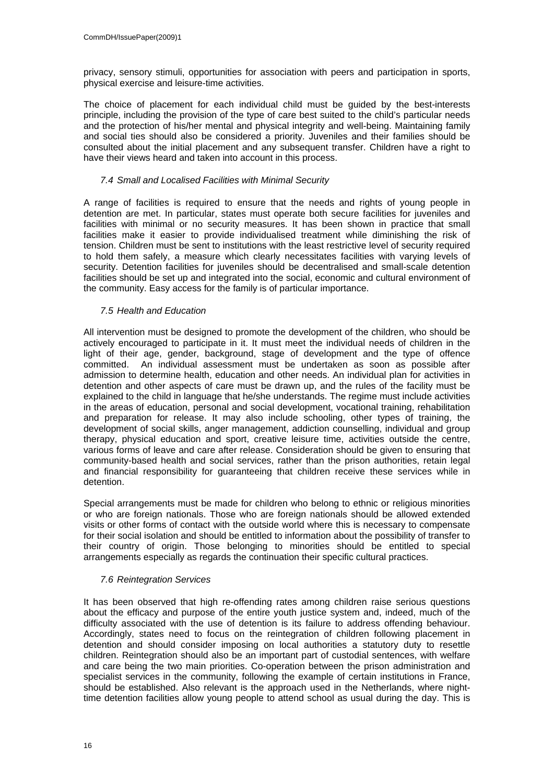privacy, sensory stimuli, opportunities for association with peers and participation in sports, physical exercise and leisure-time activities.

The choice of placement for each individual child must be guided by the best-interests principle, including the provision of the type of care best suited to the child's particular needs and the protection of his/her mental and physical integrity and well-being. Maintaining family and social ties should also be considered a priority. Juveniles and their families should be consulted about the initial placement and any subsequent transfer. Children have a right to have their views heard and taken into account in this process.

## <span id="page-15-0"></span>*7.4 Small and Localised Facilities with Minimal Security*

A range of facilities is required to ensure that the needs and rights of young people in detention are met. In particular, states must operate both secure facilities for juveniles and facilities with minimal or no security measures. It has been shown in practice that small facilities make it easier to provide individualised treatment while diminishing the risk of tension. Children must be sent to institutions with the least restrictive level of security required to hold them safely, a measure which clearly necessitates facilities with varying levels of security. Detention facilities for juveniles should be decentralised and small-scale detention facilities should be set up and integrated into the social, economic and cultural environment of the community. Easy access for the family is of particular importance.

# <span id="page-15-1"></span>*7.5 Health and Education*

All intervention must be designed to promote the development of the children, who should be actively encouraged to participate in it. It must meet the individual needs of children in the light of their age, gender, background, stage of development and the type of offence committed. An individual assessment must be undertaken as soon as possible after admission to determine health, education and other needs. An individual plan for activities in detention and other aspects of care must be drawn up, and the rules of the facility must be explained to the child in language that he/she understands. The regime must include activities in the areas of education, personal and social development, vocational training, rehabilitation and preparation for release. It may also include schooling, other types of training, the development of social skills, anger management, addiction counselling, individual and group therapy, physical education and sport, creative leisure time, activities outside the centre, various forms of leave and care after release. Consideration should be given to ensuring that community-based health and social services, rather than the prison authorities, retain legal and financial responsibility for guaranteeing that children receive these services while in detention.

Special arrangements must be made for children who belong to ethnic or religious minorities or who are foreign nationals. Those who are foreign nationals should be allowed extended visits or other forms of contact with the outside world where this is necessary to compensate for their social isolation and should be entitled to information about the possibility of transfer to their country of origin. Those belonging to minorities should be entitled to special arrangements especially as regards the continuation their specific cultural practices.

# <span id="page-15-2"></span>*7.6 Reintegration Services*

It has been observed that high re-offending rates among children raise serious questions about the efficacy and purpose of the entire youth justice system and, indeed, much of the difficulty associated with the use of detention is its failure to address offending behaviour. Accordingly, states need to focus on the reintegration of children following placement in detention and should consider imposing on local authorities a statutory duty to resettle children. Reintegration should also be an important part of custodial sentences, with welfare and care being the two main priorities. Co-operation between the prison administration and specialist services in the community, following the example of certain institutions in France, should be established. Also relevant is the approach used in the Netherlands, where nighttime detention facilities allow young people to attend school as usual during the day. This is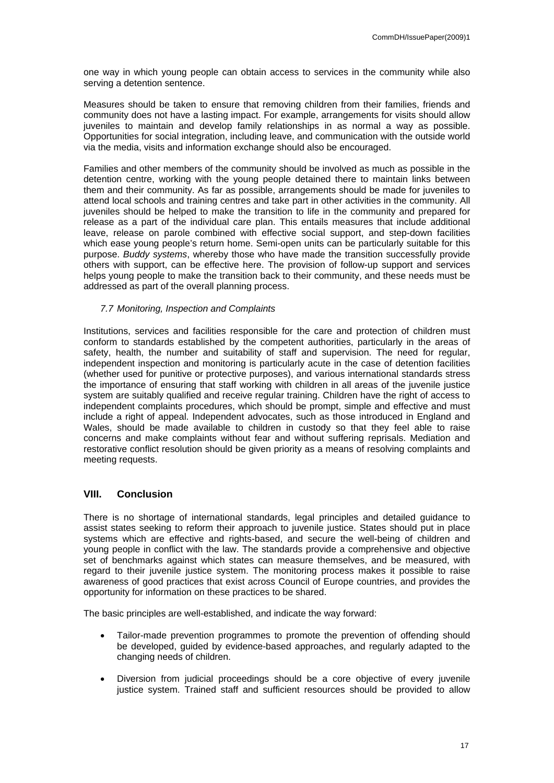one way in which young people can obtain access to services in the community while also serving a detention sentence.

Measures should be taken to ensure that removing children from their families, friends and community does not have a lasting impact. For example, arrangements for visits should allow juveniles to maintain and develop family relationships in as normal a way as possible. Opportunities for social integration, including leave, and communication with the outside world via the media, visits and information exchange should also be encouraged.

Families and other members of the community should be involved as much as possible in the detention centre, working with the young people detained there to maintain links between them and their community. As far as possible, arrangements should be made for juveniles to attend local schools and training centres and take part in other activities in the community. All juveniles should be helped to make the transition to life in the community and prepared for release as a part of the individual care plan. This entails measures that include additional leave, release on parole combined with effective social support, and step-down facilities which ease young people's return home. Semi-open units can be particularly suitable for this purpose. *Buddy systems*, whereby those who have made the transition successfully provide others with support, can be effective here. The provision of follow-up support and services helps young people to make the transition back to their community, and these needs must be addressed as part of the overall planning process.

#### <span id="page-16-0"></span>*7.7 Monitoring, Inspection and Complaints*

Institutions, services and facilities responsible for the care and protection of children must conform to standards established by the competent authorities, particularly in the areas of safety, health, the number and suitability of staff and supervision. The need for regular, independent inspection and monitoring is particularly acute in the case of detention facilities (whether used for punitive or protective purposes), and various international standards stress the importance of ensuring that staff working with children in all areas of the juvenile justice system are suitably qualified and receive regular training. Children have the right of access to independent complaints procedures, which should be prompt, simple and effective and must include a right of appeal. Independent advocates, such as those introduced in England and Wales, should be made available to children in custody so that they feel able to raise concerns and make complaints without fear and without suffering reprisals. Mediation and restorative conflict resolution should be given priority as a means of resolving complaints and meeting requests.

# <span id="page-16-1"></span>**VIII. Conclusion**

There is no shortage of international standards, legal principles and detailed guidance to assist states seeking to reform their approach to juvenile justice. States should put in place systems which are effective and rights-based, and secure the well-being of children and young people in conflict with the law. The standards provide a comprehensive and objective set of benchmarks against which states can measure themselves, and be measured, with regard to their juvenile justice system. The monitoring process makes it possible to raise awareness of good practices that exist across Council of Europe countries, and provides the opportunity for information on these practices to be shared.

The basic principles are well-established, and indicate the way forward:

- Tailor-made prevention programmes to promote the prevention of offending should be developed, guided by evidence-based approaches, and regularly adapted to the changing needs of children.
- Diversion from judicial proceedings should be a core objective of every juvenile justice system. Trained staff and sufficient resources should be provided to allow